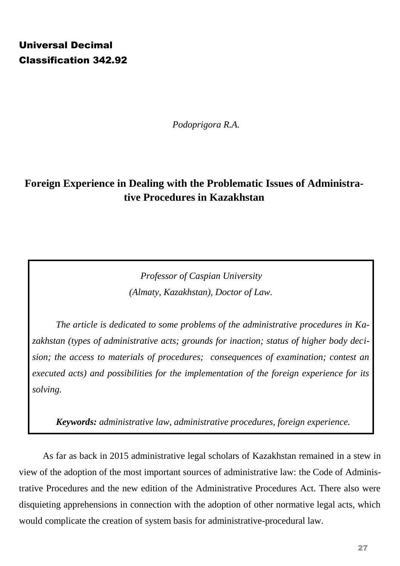# Universal Decimal Classification 342.92

*Podoprigora R.A.*

# **Foreign Experience in Dealing with the Problematic Issues of Administrative Procedures in Kazakhstan**

*Professor of Caspian University (Almaty, Kazakhstan), Doctor of Law.*

*The article is dedicated to some problems of the administrative procedures in Kazakhstan (types of administrative acts; grounds for inaction; status of higher body decision; the access to materials of procedures; consequences of examination; contest an executed acts) and possibilities for the implementation of the foreign experience for its solving.* 

*Keywords: administrative law, administrative procedures, foreign experience.* 

As far as back in 2015 administrative legal scholars of Kazakhstan remained in a stew in view of the adoption of the most important sources of administrative law: the Code of Administrative Procedures and the new edition of the Administrative Procedures Act. There also were disquieting apprehensions in connection with the adoption of other normative legal acts, which would complicate the creation of system basis for administrative-procedural law.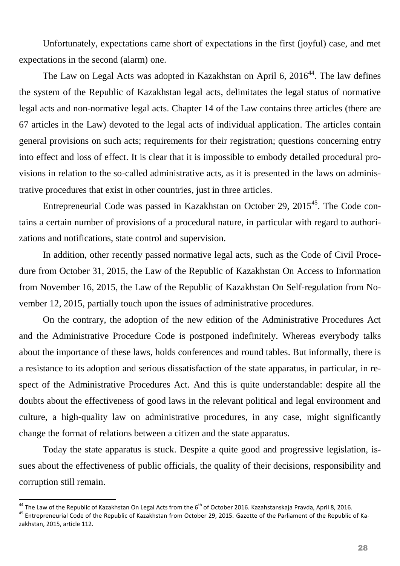Unfortunately, expectations came short of expectations in the first (joyful) case, and met expectations in the second (alarm) one.

The Law on Legal Acts was adopted in Kazakhstan on April 6,  $2016<sup>44</sup>$ . The law defines the system of the Republic of Kazakhstan legal acts, delimitates the legal status of normative legal acts and non-normative legal acts. Chapter 14 of the Law contains three articles (there are 67 articles in the Law) devoted to the legal acts of individual application. The articles contain general provisions on such acts; requirements for their registration; questions concerning entry into effect and loss of effect. It is clear that it is impossible to embody detailed procedural provisions in relation to the so-called administrative acts, as it is presented in the laws on administrative procedures that exist in other countries, just in three articles.

Entrepreneurial Code was passed in Kazakhstan on October 29, 2015<sup>45</sup>. The Code contains a certain number of provisions of a procedural nature, in particular with regard to authorizations and notifications, state control and supervision.

In addition, other recently passed normative legal acts, such as the Code of Civil Procedure from October 31, 2015, the Law of the Republic of Kazakhstan On Access to Information from November 16, 2015, the Law of the Republic of Kazakhstan On Self-regulation from November 12, 2015, partially touch upon the issues of administrative procedures.

On the contrary, the adoption of the new edition of the Administrative Procedures Act and the Administrative Procedure Code is postponed indefinitely. Whereas everybody talks about the importance of these laws, holds conferences and round tables. But informally, there is a resistance to its adoption and serious dissatisfaction of the state apparatus, in particular, in respect of the Administrative Procedures Act. And this is quite understandable: despite all the doubts about the effectiveness of good laws in the relevant political and legal environment and culture, a high-quality law on administrative procedures, in any case, might significantly change the format of relations between a citizen and the state apparatus.

Today the state apparatus is stuck. Despite a quite good and progressive legislation, issues about the effectiveness of public officials, the quality of their decisions, responsibility and corruption still remain.

 $^{44}$  The Law of the Republic of Kazakhstan On Legal Acts from the  $6^{th}$  of October 2016. Kazahstanskaja Pravda, April 8, 2016.

<sup>&</sup>lt;sup>45</sup> Entrepreneurial Code of the Republic of Kazakhstan from October 29, 2015. Gazette of the Parliament of the Republic of Kazakhstan, 2015, article 112.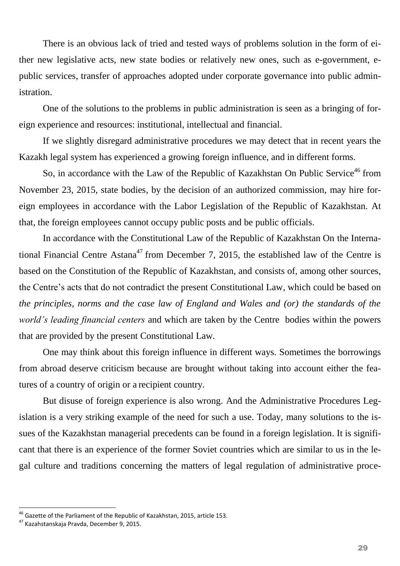There is an obvious lack of tried and tested ways of problems solution in the form of either new legislative acts, new state bodies or relatively new ones, such as e-government, epublic services, transfer of approaches adopted under corporate governance into public administration.

One of the solutions to the problems in public administration is seen as a bringing of foreign experience and resources: institutional, intellectual and financial.

If we slightly disregard administrative procedures we may detect that in recent years the Kazakh legal system has experienced a growing foreign influence, and in different forms.

So, in accordance with the Law of the Republic of Kazakhstan On Public Service<sup>46</sup> from November 23, 2015, state bodies, by the decision of an authorized commission, may hire foreign employees in accordance with the Labor Legislation of the Republic of Kazakhstan. At that, the foreign employees cannot occupy public posts and be public officials.

In accordance with the Constitutional Law of the Republic of Kazakhstan On the International Financial Centre Astana<sup>47</sup> from December 7, 2015, the established law of the Centre is based on the Constitution of the Republic of Kazakhstan, and consists of, among other sources, the Centre's acts that do not contradict the present Constitutional Law, which could be based on *the principles, norms and the case law of England and Wales and (or) the standards of the world's leading financial centers* and which are taken by the Centre bodies within the powers that are provided by the present Constitutional Law.

One may think about this foreign influence in different ways. Sometimes the borrowings from abroad deserve criticism because are brought without taking into account either the features of a country of origin or a recipient country.

But disuse of foreign experience is also wrong. And the Administrative Procedures Legislation is a very striking example of the need for such a use. Today, many solutions to the issues of the Kazakhstan managerial precedents can be found in a foreign legislation. It is significant that there is an experience of the former Soviet countries which are similar to us in the legal culture and traditions concerning the matters of legal regulation of administrative proce-

 $^{46}$  Gazette of the Parliament of the Republic of Kazakhstan, 2015, article 153.

<sup>47</sup> Kazahstanskaja Pravda, December 9, 2015.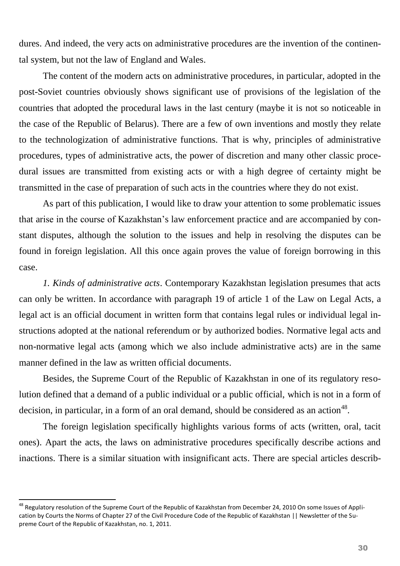dures. And indeed, the very acts on administrative procedures are the invention of the continental system, but not the law of England and Wales.

The content of the modern acts on administrative procedures, in particular, adopted in the post-Soviet countries obviously shows significant use of provisions of the legislation of the countries that adopted the procedural laws in the last century (maybe it is not so noticeable in the case of the Republic of Belarus). There are a few of own inventions and mostly they relate to the technologization of administrative functions. That is why, principles of administrative procedures, types of administrative acts, the power of discretion and many other classic procedural issues are transmitted from existing acts or with a high degree of certainty might be transmitted in the case of preparation of such acts in the countries where they do not exist.

As part of this publication, I would like to draw your attention to some problematic issues that arise in the course of Kazakhstan's law enforcement practice and are accompanied by constant disputes, although the solution to the issues and help in resolving the disputes can be found in foreign legislation. All this once again proves the value of foreign borrowing in this case.

*1. Kinds of administrative acts*. Contemporary Kazakhstan legislation presumes that acts can only be written. In accordance with paragraph 19 of article 1 of the Law on Legal Acts, a legal act is an official document in written form that contains legal rules or individual legal instructions adopted at the national referendum or by authorized bodies. Normative legal acts and non-normative legal acts (among which we also include administrative acts) are in the same manner defined in the law as written official documents.

Besides, the Supreme Court of the Republic of Kazakhstan in one of its regulatory resolution defined that a demand of a public individual or a public official, which is not in a form of decision, in particular, in a form of an oral demand, should be considered as an action<sup>48</sup>.

The foreign legislation specifically highlights various forms of acts (written, oral, tacit ones). Apart the acts, the laws on administrative procedures specifically describe actions and inactions. There is a similar situation with insignificant acts. There are special articles describ-

<sup>&</sup>lt;sup>48</sup> Regulatory resolution of the Supreme Court of the Republic of Kazakhstan from December 24, 2010 On some Issues of Application by Courts the Norms of Chapter 27 of the Civil Procedure Code of the Republic of Kazakhstan || Newsletter of the Supreme Court of the Republic of Kazakhstan, no. 1, 2011.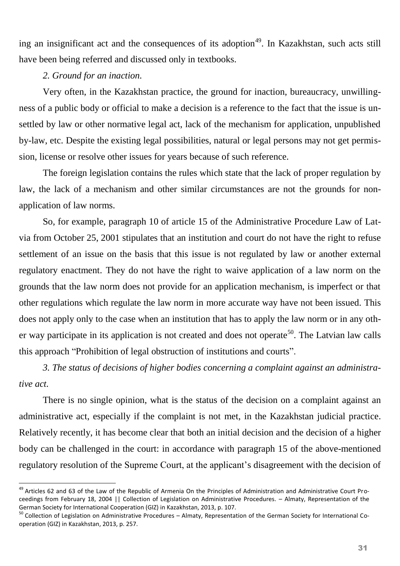ing an insignificant act and the consequences of its adoption<sup>49</sup>. In Kazakhstan, such acts still have been being referred and discussed only in textbooks.

### *2. Ground for an inaction.*

 $\overline{a}$ 

Very often, in the Kazakhstan practice, the ground for inaction, bureaucracy, unwillingness of a public body or official to make a decision is a reference to the fact that the issue is unsettled by law or other normative legal act, lack of the mechanism for application, unpublished by-law, etc. Despite the existing legal possibilities, natural or legal persons may not get permission, license or resolve other issues for years because of such reference.

The foreign legislation contains the rules which state that the lack of proper regulation by law, the lack of a mechanism and other similar circumstances are not the grounds for nonapplication of law norms.

So, for example, paragraph 10 of article 15 of the Administrative Procedure Law of Latvia from October 25, 2001 stipulates that an institution and court do not have the right to refuse settlement of an issue on the basis that this issue is not regulated by law or another external regulatory enactment. They do not have the right to waive application of a law norm on the grounds that the law norm does not provide for an application mechanism, is imperfect or that other regulations which regulate the law norm in more accurate way have not been issued. This does not apply only to the case when an institution that has to apply the law norm or in any other way participate in its application is not created and does not operate<sup>50</sup>. The Latvian law calls this approach "Prohibition of legal obstruction of institutions and courts".

*3. The status of decisions of higher bodies concerning a complaint against an administrative act.*

There is no single opinion, what is the status of the decision on a complaint against an administrative act, especially if the complaint is not met, in the Kazakhstan judicial practice. Relatively recently, it has become clear that both an initial decision and the decision of a higher body can be challenged in the court: in accordance with paragraph 15 of the above-mentioned regulatory resolution of the Supreme Court, at the applicant's disagreement with the decision of

<sup>&</sup>lt;sup>49</sup> Articles 62 and 63 of the Law of the Republic of Armenia On the Principles of Administration and Administrative Court Proceedings from February 18, 2004 || Collection of Legislation on Administrative Procedures. – Almaty, Representation of the German Society for International Cooperation (GIZ) in Kazakhstan, 2013, p. 107.

<sup>50</sup> Collection of Legislation on Administrative Procedures – Almaty, Representation of the German Society for International Cooperation (GIZ) in Kazakhstan, 2013, p. 257.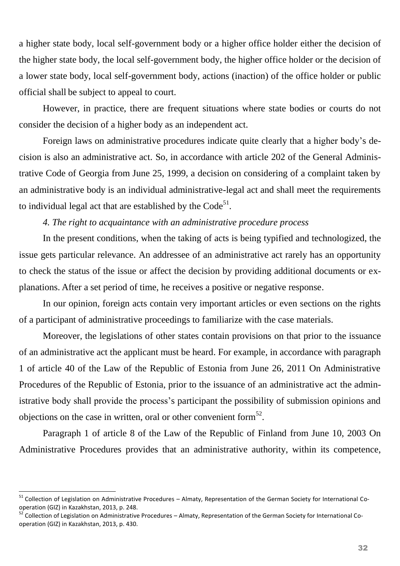a higher state body, local self-government body or a higher office holder either the decision of the higher state body, the local self-government body, the higher office holder or the decision of a lower state body, local self-government body, actions (inaction) of the office holder or public official shall be subject to appeal to court.

However, in practice, there are frequent situations where state bodies or courts do not consider the decision of a higher body as an independent act.

Foreign laws on administrative procedures indicate quite clearly that a higher body's decision is also an administrative act. So, in accordance with article 202 of the General Administrative Code of Georgia from June 25, 1999, a decision on considering of a complaint taken by an administrative body is an individual administrative-legal act and shall meet the requirements to individual legal act that are established by the  $Code^{51}$ .

### *4. The right to acquaintance with an administrative procedure process*

In the present conditions, when the taking of acts is being typified and technologized, the issue gets particular relevance. An addressee of an administrative act rarely has an opportunity to check the status of the issue or affect the decision by providing additional documents or explanations. After a set period of time, he receives a positive or negative response.

In our opinion, foreign acts contain very important articles or even sections on the rights of a participant of administrative proceedings to familiarize with the case materials.

Moreover, the legislations of other states contain provisions on that prior to the issuance of an administrative act the applicant must be heard. For example, in accordance with paragraph 1 of article 40 of the Law of the Republic of Estonia from June 26, 2011 On Administrative Procedures of the Republic of Estonia, prior to the issuance of an administrative act the administrative body shall provide the process's participant the possibility of submission opinions and objections on the case in written, oral or other convenient form<sup>52</sup>.

Paragraph 1 of article 8 of the Law of the Republic of Finland from June 10, 2003 On Administrative Procedures provides that an administrative authority, within its competence,

<sup>&</sup>lt;sup>51</sup> Collection of Legislation on Administrative Procedures – Almaty, Representation of the German Society for International Cooperation (GIZ) in Kazakhstan, 2013, p. 248.

<sup>&</sup>lt;sup>52</sup> Collection of Legislation on Administrative Procedures – Almaty, Representation of the German Society for International Cooperation (GIZ) in Kazakhstan, 2013, p. 430.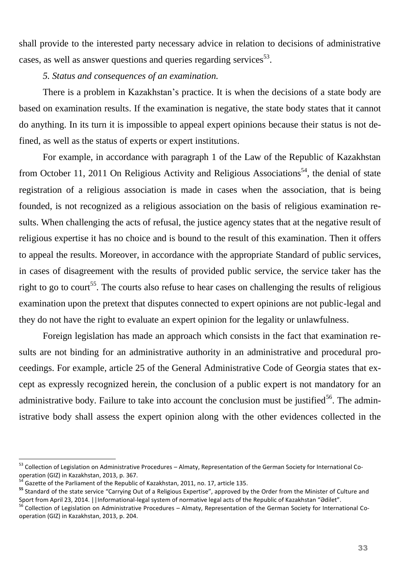shall provide to the interested party necessary advice in relation to decisions of administrative cases, as well as answer questions and queries regarding services $^{53}$ .

*5. Status and consequences of an examination.*

There is a problem in Kazakhstan's practice. It is when the decisions of a state body are based on examination results. If the examination is negative, the state body states that it cannot do anything. In its turn it is impossible to appeal expert opinions because their status is not defined, as well as the status of experts or expert institutions.

For example, in accordance with paragraph 1 of the Law of the Republic of Kazakhstan from October 11, 2011 On Religious Activity and Religious Associations<sup>54</sup>, the denial of state registration of a religious association is made in cases when the association, that is being founded, is not recognized as a religious association on the basis of religious examination results. When challenging the acts of refusal, the justice agency states that at the negative result of religious expertise it has no choice and is bound to the result of this examination. Then it offers to appeal the results. Moreover, in accordance with the appropriate Standard of public services, in cases of disagreement with the results of provided public service, the service taker has the right to go to court<sup>55</sup>. The courts also refuse to hear cases on challenging the results of religious examination upon the pretext that disputes connected to expert opinions are not public-legal and they do not have the right to evaluate an expert opinion for the legality or unlawfulness.

Foreign legislation has made an approach which consists in the fact that examination results are not binding for an administrative authority in an administrative and procedural proceedings. For example, article 25 of the General Administrative Code of Georgia states that except as expressly recognized herein, the conclusion of a public expert is not mandatory for an administrative body. Failure to take into account the conclusion must be justified<sup>56</sup>. The administrative body shall assess the expert opinion along with the other evidences collected in the

<sup>&</sup>lt;sup>53</sup> Collection of Legislation on Administrative Procedures – Almaty, Representation of the German Society for International Cooperation (GIZ) in Kazakhstan, 2013, p. 367.

 $54$  Gazette of the Parliament of the Republic of Kazakhstan, 2011, no. 17, article 135.

**<sup>55</sup>** Standard of the state service "Carrying Out of a Religious Expertise", approved by the Order from the Minister of Culture and Sport from April 23, 2014. ||Informational-legal system of normative legal acts of the Republic of Kazakhstan "Ədilet".

<sup>&</sup>lt;sup>56</sup> Collection of Legislation on Administrative Procedures – Almaty, Representation of the German Society for International Cooperation (GIZ) in Kazakhstan, 2013, p. 204.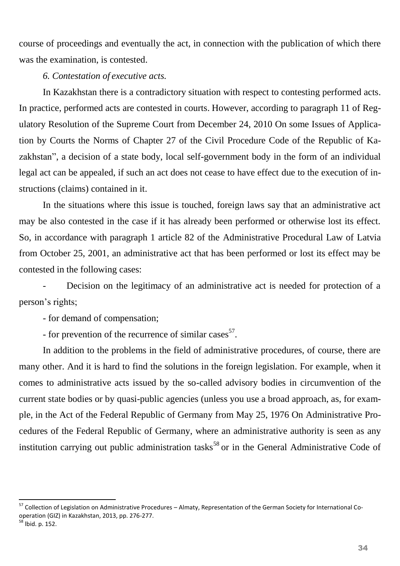course of proceedings and eventually the act, in connection with the publication of which there was the examination, is contested.

#### *6. Contestation of executive acts.*

In Kazakhstan there is a contradictory situation with respect to contesting performed acts. In practice, performed acts are contested in courts. However, according to paragraph 11 of Regulatory Resolution of the Supreme Court from December 24, 2010 On some Issues of Application by Courts the Norms of Chapter 27 of the Civil Procedure Code of the Republic of Kazakhstan", a decision of a state body, local self-government body in the form of an individual legal act can be appealed, if such an act does not cease to have effect due to the execution of instructions (claims) contained in it.

In the situations where this issue is touched, foreign laws say that an administrative act may be also contested in the case if it has already been performed or otherwise lost its effect. So, in accordance with paragraph 1 article 82 of the Administrative Procedural Law of Latvia from October 25, 2001, an administrative act that has been performed or lost its effect may be contested in the following cases:

Decision on the legitimacy of an administrative act is needed for protection of a person's rights;

- for demand of compensation;

- for prevention of the recurrence of similar cases $57$ .

In addition to the problems in the field of administrative procedures, of course, there are many other. And it is hard to find the solutions in the foreign legislation. For example, when it comes to administrative acts issued by the so-called advisory bodies in circumvention of the current state bodies or by quasi-public agencies (unless you use a broad approach, as, for example, in the Act of the Federal Republic of Germany from May 25, 1976 On Administrative Procedures of the Federal Republic of Germany, where an administrative authority is seen as any institution carrying out public administration tasks<sup>58</sup> or in the General Administrative Code of

<sup>&</sup>lt;sup>57</sup> Collection of Legislation on Administrative Procedures – Almaty, Representation of the German Society for International Cooperation (GIZ) in Kazakhstan, 2013, pp. 276-277.

<sup>58</sup> lbid. p. 152.